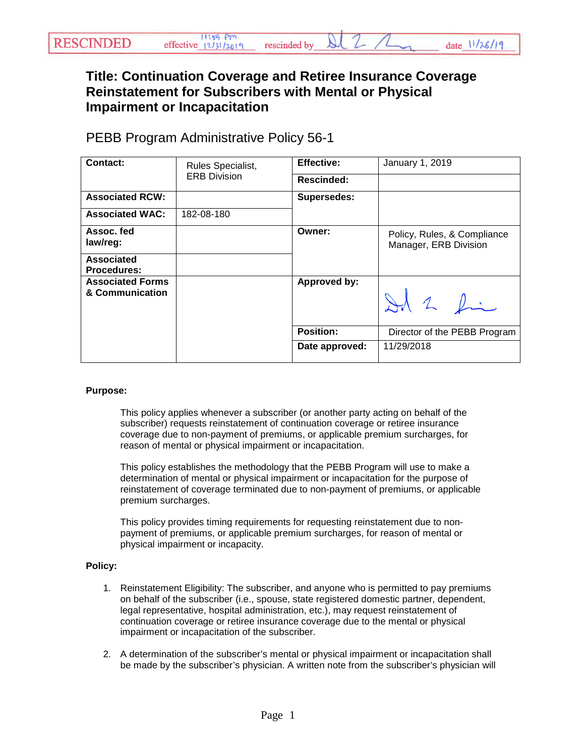### rescinded by

date 11/26/19

# **Title: Continuation Coverage and Retiree Insurance Coverage Reinstatement for Subscribers with Mental or Physical Impairment or Incapacitation**

# PEBB Program Administrative Policy 56-1

| Contact:                                   | Rules Specialist,<br><b>ERB Division</b> | <b>Effective:</b>  | January 1, 2019                                      |
|--------------------------------------------|------------------------------------------|--------------------|------------------------------------------------------|
|                                            |                                          | <b>Rescinded:</b>  |                                                      |
| <b>Associated RCW:</b>                     |                                          | <b>Supersedes:</b> |                                                      |
| <b>Associated WAC:</b>                     | 182-08-180                               |                    |                                                      |
| Assoc. fed<br>law/reg:                     |                                          | Owner:             | Policy, Rules, & Compliance<br>Manager, ERB Division |
| <b>Associated</b><br><b>Procedures:</b>    |                                          |                    |                                                      |
| <b>Associated Forms</b><br>& Communication |                                          | Approved by:       | Id 2 fin                                             |
|                                            |                                          | <b>Position:</b>   | Director of the PEBB Program                         |
|                                            |                                          | Date approved:     | 11/29/2018                                           |

#### **Purpose:**

This policy applies whenever a subscriber (or another party acting on behalf of the subscriber) requests reinstatement of continuation coverage or retiree insurance coverage due to non-payment of premiums, or applicable premium surcharges, for reason of mental or physical impairment or incapacitation.

This policy establishes the methodology that the PEBB Program will use to make a determination of mental or physical impairment or incapacitation for the purpose of reinstatement of coverage terminated due to non-payment of premiums, or applicable premium surcharges.

This policy provides timing requirements for requesting reinstatement due to nonpayment of premiums, or applicable premium surcharges, for reason of mental or physical impairment or incapacity.

#### **Policy:**

- 1. Reinstatement Eligibility: The subscriber, and anyone who is permitted to pay premiums on behalf of the subscriber (i.e., spouse, state registered domestic partner, dependent, legal representative, hospital administration, etc.), may request reinstatement of continuation coverage or retiree insurance coverage due to the mental or physical impairment or incapacitation of the subscriber.
- 2. A determination of the subscriber's mental or physical impairment or incapacitation shall be made by the subscriber's physician. A written note from the subscriber's physician will